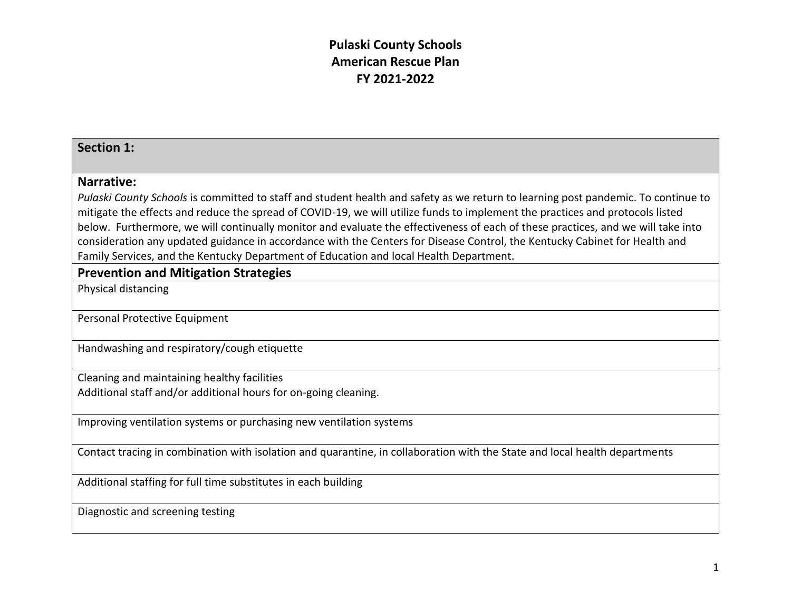#### **Section 1:**

#### **Narrative:**

*Pulaski County Schools* is committed to staff and student health and safety as we return to learning post pandemic. To continue to mitigate the effects and reduce the spread of COVID-19, we will utilize funds to implement the practices and protocols listed below. Furthermore, we will continually monitor and evaluate the effectiveness of each of these practices, and we will take into consideration any updated guidance in accordance with the Centers for Disease Control, the Kentucky Cabinet for Health and Family Services, and the Kentucky Department of Education and local Health Department.

#### **Prevention and Mitigation Strategies**

Physical distancing

Personal Protective Equipment

Handwashing and respiratory/cough etiquette

Cleaning and maintaining healthy facilities

Additional staff and/or additional hours for on-going cleaning.

Improving ventilation systems or purchasing new ventilation systems

Contact tracing in combination with isolation and quarantine, in collaboration with the State and local health departments

Additional staffing for full time substitutes in each building

Diagnostic and screening testing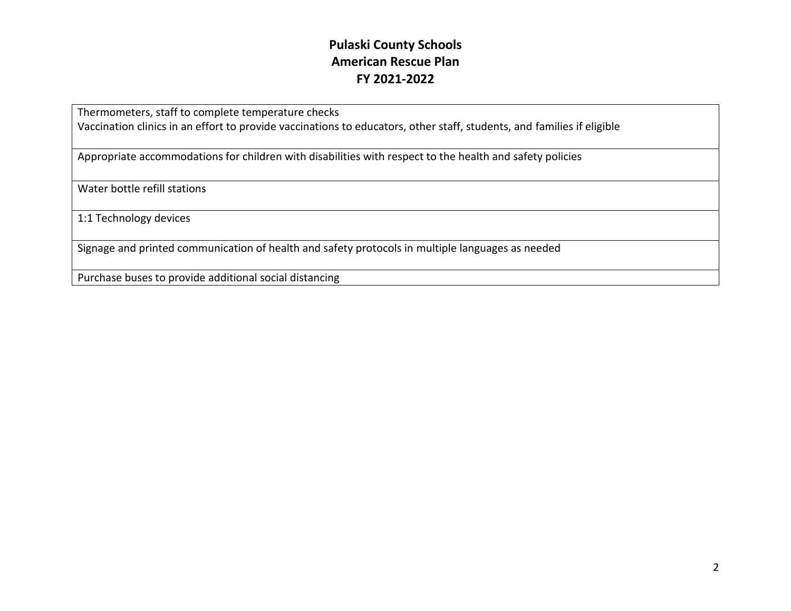Thermometers, staff to complete temperature checks

Vaccination clinics in an effort to provide vaccinations to educators, other staff, students, and families if eligible

Appropriate accommodations for children with disabilities with respect to the health and safety policies

Water bottle refill stations

1:1 Technology devices

Signage and printed communication of health and safety protocols in multiple languages as needed

Purchase buses to provide additional social distancing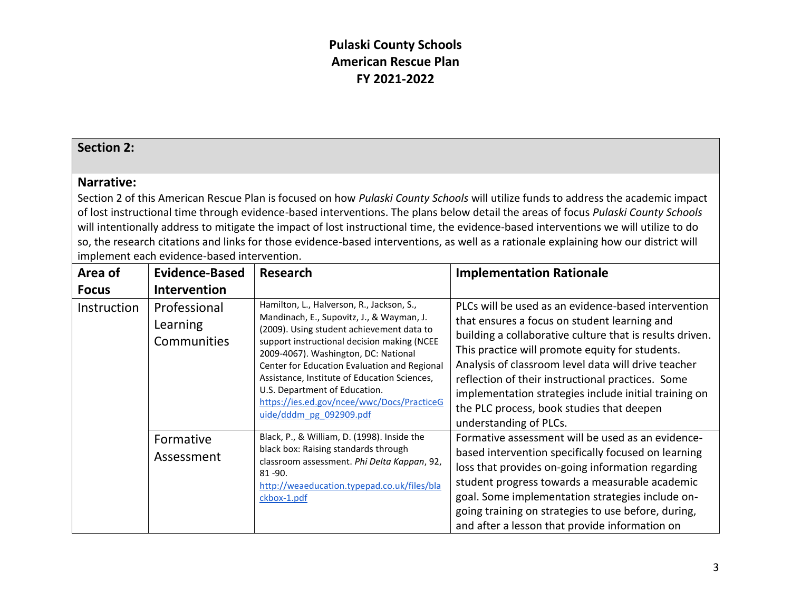#### **Section 2:**

#### **Narrative:**

Section 2 of this American Rescue Plan is focused on how *Pulaski County Schools* will utilize funds to address the academic impact of lost instructional time through evidence-based interventions. The plans below detail the areas of focus *Pulaski County Schools*  will intentionally address to mitigate the impact of lost instructional time, the evidence-based interventions we will utilize to do so, the research citations and links for those evidence-based interventions, as well as a rationale explaining how our district will implement each evidence-based intervention.

| Area of            | <b>Evidence-Based</b>                   | <b>Research</b>                                                                                                                                                                                                                                                                                                                                                                                                                      | <b>Implementation Rationale</b>                                                                                                                                                                                                                                                                                                                                                                                                                                |
|--------------------|-----------------------------------------|--------------------------------------------------------------------------------------------------------------------------------------------------------------------------------------------------------------------------------------------------------------------------------------------------------------------------------------------------------------------------------------------------------------------------------------|----------------------------------------------------------------------------------------------------------------------------------------------------------------------------------------------------------------------------------------------------------------------------------------------------------------------------------------------------------------------------------------------------------------------------------------------------------------|
| <b>Focus</b>       | <b>Intervention</b>                     |                                                                                                                                                                                                                                                                                                                                                                                                                                      |                                                                                                                                                                                                                                                                                                                                                                                                                                                                |
| <b>Instruction</b> | Professional<br>Learning<br>Communities | Hamilton, L., Halverson, R., Jackson, S.,<br>Mandinach, E., Supovitz, J., & Wayman, J.<br>(2009). Using student achievement data to<br>support instructional decision making (NCEE<br>2009-4067). Washington, DC: National<br>Center for Education Evaluation and Regional<br>Assistance, Institute of Education Sciences,<br>U.S. Department of Education.<br>https://ies.ed.gov/ncee/wwc/Docs/PracticeG<br>uide/dddm pg 092909.pdf | PLCs will be used as an evidence-based intervention<br>that ensures a focus on student learning and<br>building a collaborative culture that is results driven.<br>This practice will promote equity for students.<br>Analysis of classroom level data will drive teacher<br>reflection of their instructional practices. Some<br>implementation strategies include initial training on<br>the PLC process, book studies that deepen<br>understanding of PLCs. |
|                    | Formative<br>Assessment                 | Black, P., & William, D. (1998). Inside the<br>black box: Raising standards through<br>classroom assessment. Phi Delta Kappan, 92,<br>$81 - 90.$<br>http://weaeducation.typepad.co.uk/files/bla<br>ckbox-1.pdf                                                                                                                                                                                                                       | Formative assessment will be used as an evidence-<br>based intervention specifically focused on learning<br>loss that provides on-going information regarding<br>student progress towards a measurable academic<br>goal. Some implementation strategies include on-<br>going training on strategies to use before, during,<br>and after a lesson that provide information on                                                                                   |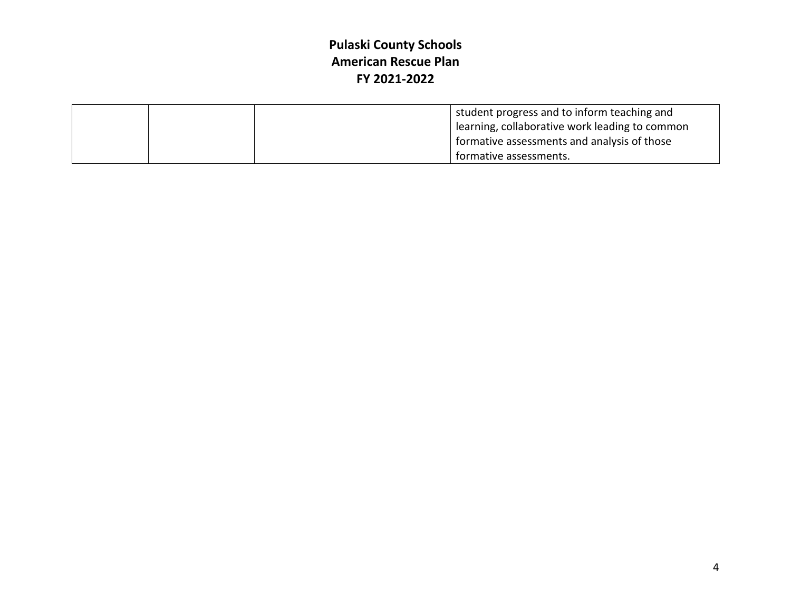|  | student progress and to inform teaching and<br>l learning, collaborative work leading to common |  |
|--|-------------------------------------------------------------------------------------------------|--|
|  | formative assessments and analysis of those                                                     |  |
|  | formative assessments.                                                                          |  |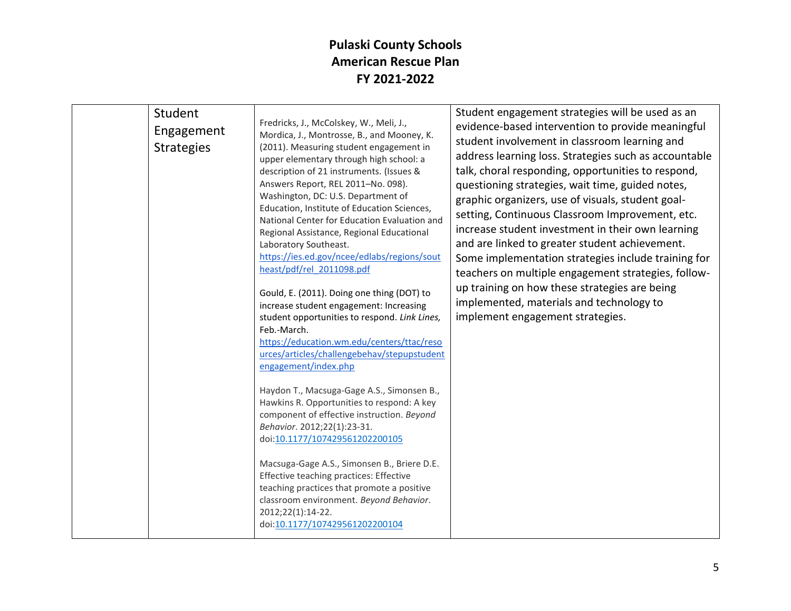| Student<br>Engagement<br><b>Strategies</b> | Fredricks, J., McColskey, W., Meli, J.,<br>Mordica, J., Montrosse, B., and Mooney, K.<br>(2011). Measuring student engagement in<br>upper elementary through high school: a<br>description of 21 instruments. (Issues &<br>Answers Report, REL 2011-No. 098).<br>Washington, DC: U.S. Department of<br>Education, Institute of Education Sciences,<br>National Center for Education Evaluation and<br>Regional Assistance, Regional Educational<br>Laboratory Southeast.<br>https://ies.ed.gov/ncee/edlabs/regions/sout<br>heast/pdf/rel 2011098.pdf<br>Gould, E. (2011). Doing one thing (DOT) to<br>increase student engagement: Increasing<br>student opportunities to respond. Link Lines,<br>Feb.-March.<br>https://education.wm.edu/centers/ttac/reso<br>urces/articles/challengebehav/stepupstudent<br>engagement/index.php<br>Haydon T., Macsuga-Gage A.S., Simonsen B.,<br>Hawkins R. Opportunities to respond: A key<br>component of effective instruction. Beyond<br>Behavior. 2012;22(1):23-31.<br>doi:10.1177/107429561202200105<br>Macsuga-Gage A.S., Simonsen B., Briere D.E.<br>Effective teaching practices: Effective | Student engagement strategies will be used as an<br>evidence-based intervention to provide meaningful<br>student involvement in classroom learning and<br>address learning loss. Strategies such as accountable<br>talk, choral responding, opportunities to respond,<br>questioning strategies, wait time, guided notes,<br>graphic organizers, use of visuals, student goal-<br>setting, Continuous Classroom Improvement, etc.<br>increase student investment in their own learning<br>and are linked to greater student achievement.<br>Some implementation strategies include training for<br>teachers on multiple engagement strategies, follow-<br>up training on how these strategies are being<br>implemented, materials and technology to<br>implement engagement strategies. |
|--------------------------------------------|-----------------------------------------------------------------------------------------------------------------------------------------------------------------------------------------------------------------------------------------------------------------------------------------------------------------------------------------------------------------------------------------------------------------------------------------------------------------------------------------------------------------------------------------------------------------------------------------------------------------------------------------------------------------------------------------------------------------------------------------------------------------------------------------------------------------------------------------------------------------------------------------------------------------------------------------------------------------------------------------------------------------------------------------------------------------------------------------------------------------------------------------|-----------------------------------------------------------------------------------------------------------------------------------------------------------------------------------------------------------------------------------------------------------------------------------------------------------------------------------------------------------------------------------------------------------------------------------------------------------------------------------------------------------------------------------------------------------------------------------------------------------------------------------------------------------------------------------------------------------------------------------------------------------------------------------------|
|                                            | teaching practices that promote a positive<br>classroom environment. Beyond Behavior.<br>2012;22(1):14-22.<br>doi:10.1177/107429561202200104                                                                                                                                                                                                                                                                                                                                                                                                                                                                                                                                                                                                                                                                                                                                                                                                                                                                                                                                                                                            |                                                                                                                                                                                                                                                                                                                                                                                                                                                                                                                                                                                                                                                                                                                                                                                         |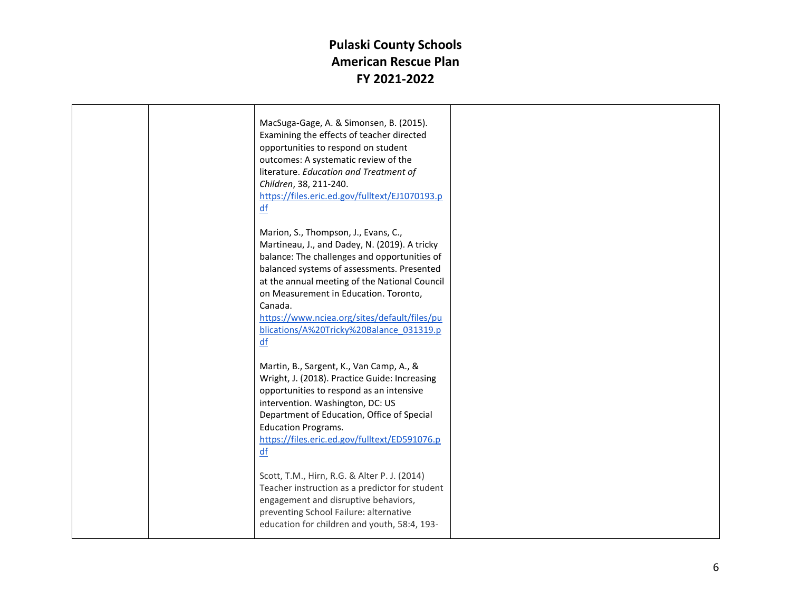|  | MacSuga-Gage, A. & Simonsen, B. (2015).<br>Examining the effects of teacher directed<br>opportunities to respond on student<br>outcomes: A systematic review of the<br>literature. Education and Treatment of<br>Children, 38, 211-240.<br>https://files.eric.ed.gov/fulltext/EJ1070193.p<br>df                                                                                            |  |
|--|--------------------------------------------------------------------------------------------------------------------------------------------------------------------------------------------------------------------------------------------------------------------------------------------------------------------------------------------------------------------------------------------|--|
|  | Marion, S., Thompson, J., Evans, C.,<br>Martineau, J., and Dadey, N. (2019). A tricky<br>balance: The challenges and opportunities of<br>balanced systems of assessments. Presented<br>at the annual meeting of the National Council<br>on Measurement in Education. Toronto,<br>Canada.<br>https://www.nciea.org/sites/default/files/pu<br>blications/A%20Tricky%20Balance 031319.p<br>df |  |
|  | Martin, B., Sargent, K., Van Camp, A., &<br>Wright, J. (2018). Practice Guide: Increasing<br>opportunities to respond as an intensive<br>intervention. Washington, DC: US<br>Department of Education, Office of Special<br><b>Education Programs.</b><br>https://files.eric.ed.gov/fulltext/ED591076.p<br>df                                                                               |  |
|  | Scott, T.M., Hirn, R.G. & Alter P. J. (2014)<br>Teacher instruction as a predictor for student<br>engagement and disruptive behaviors,<br>preventing School Failure: alternative<br>education for children and youth, 58:4, 193-                                                                                                                                                           |  |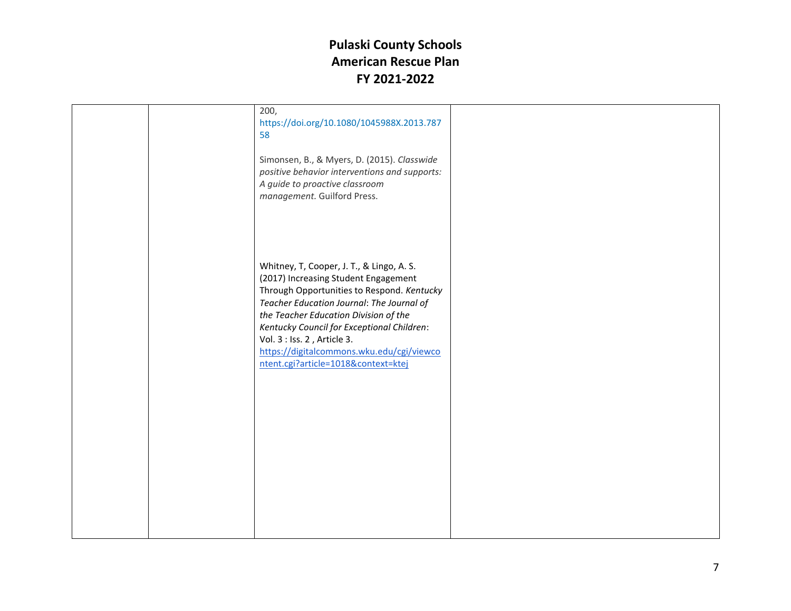|  | 200,<br>https://doi.org/10.1080/1045988X.2013.787<br>58                                                                                                                                                                                                                                                                                                                                |  |
|--|----------------------------------------------------------------------------------------------------------------------------------------------------------------------------------------------------------------------------------------------------------------------------------------------------------------------------------------------------------------------------------------|--|
|  | Simonsen, B., & Myers, D. (2015). Classwide<br>positive behavior interventions and supports:<br>A guide to proactive classroom<br>management. Guilford Press.                                                                                                                                                                                                                          |  |
|  | Whitney, T, Cooper, J. T., & Lingo, A. S.<br>(2017) Increasing Student Engagement<br>Through Opportunities to Respond. Kentucky<br>Teacher Education Journal: The Journal of<br>the Teacher Education Division of the<br>Kentucky Council for Exceptional Children:<br>Vol. 3 : Iss. 2, Article 3.<br>https://digitalcommons.wku.edu/cgi/viewco<br>ntent.cgi?article=1018&context=ktej |  |
|  |                                                                                                                                                                                                                                                                                                                                                                                        |  |
|  |                                                                                                                                                                                                                                                                                                                                                                                        |  |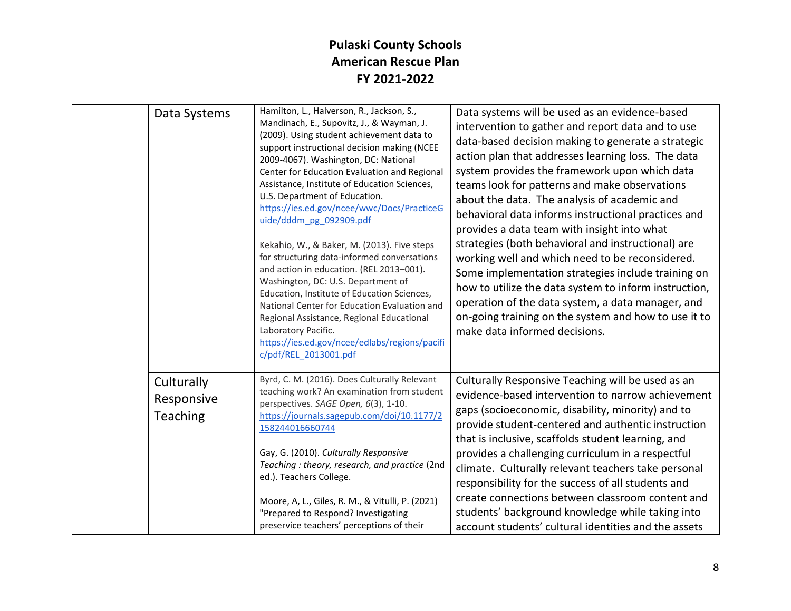| Data Systems                         | Hamilton, L., Halverson, R., Jackson, S.,<br>Mandinach, E., Supovitz, J., & Wayman, J.<br>(2009). Using student achievement data to<br>support instructional decision making (NCEE<br>2009-4067). Washington, DC: National<br>Center for Education Evaluation and Regional<br>Assistance, Institute of Education Sciences,<br>U.S. Department of Education.<br>https://ies.ed.gov/ncee/wwc/Docs/PracticeG<br>uide/dddm pg 092909.pdf<br>Kekahio, W., & Baker, M. (2013). Five steps<br>for structuring data-informed conversations<br>and action in education. (REL 2013-001).<br>Washington, DC: U.S. Department of<br>Education, Institute of Education Sciences,<br>National Center for Education Evaluation and<br>Regional Assistance, Regional Educational<br>Laboratory Pacific.<br>https://ies.ed.gov/ncee/edlabs/regions/pacifi<br>c/pdf/REL 2013001.pdf | Data systems will be used as an evidence-based<br>intervention to gather and report data and to use<br>data-based decision making to generate a strategic<br>action plan that addresses learning loss. The data<br>system provides the framework upon which data<br>teams look for patterns and make observations<br>about the data. The analysis of academic and<br>behavioral data informs instructional practices and<br>provides a data team with insight into what<br>strategies (both behavioral and instructional) are<br>working well and which need to be reconsidered.<br>Some implementation strategies include training on<br>how to utilize the data system to inform instruction,<br>operation of the data system, a data manager, and<br>on-going training on the system and how to use it to<br>make data informed decisions. |
|--------------------------------------|-------------------------------------------------------------------------------------------------------------------------------------------------------------------------------------------------------------------------------------------------------------------------------------------------------------------------------------------------------------------------------------------------------------------------------------------------------------------------------------------------------------------------------------------------------------------------------------------------------------------------------------------------------------------------------------------------------------------------------------------------------------------------------------------------------------------------------------------------------------------|-----------------------------------------------------------------------------------------------------------------------------------------------------------------------------------------------------------------------------------------------------------------------------------------------------------------------------------------------------------------------------------------------------------------------------------------------------------------------------------------------------------------------------------------------------------------------------------------------------------------------------------------------------------------------------------------------------------------------------------------------------------------------------------------------------------------------------------------------|
| Culturally<br>Responsive<br>Teaching | Byrd, C. M. (2016). Does Culturally Relevant<br>teaching work? An examination from student<br>perspectives. SAGE Open, 6(3), 1-10.<br>https://journals.sagepub.com/doi/10.1177/2<br>158244016660744<br>Gay, G. (2010). Culturally Responsive<br>Teaching: theory, research, and practice (2nd<br>ed.). Teachers College.<br>Moore, A, L., Giles, R. M., & Vitulli, P. (2021)<br>"Prepared to Respond? Investigating<br>preservice teachers' perceptions of their                                                                                                                                                                                                                                                                                                                                                                                                  | Culturally Responsive Teaching will be used as an<br>evidence-based intervention to narrow achievement<br>gaps (socioeconomic, disability, minority) and to<br>provide student-centered and authentic instruction<br>that is inclusive, scaffolds student learning, and<br>provides a challenging curriculum in a respectful<br>climate. Culturally relevant teachers take personal<br>responsibility for the success of all students and<br>create connections between classroom content and<br>students' background knowledge while taking into<br>account students' cultural identities and the assets                                                                                                                                                                                                                                     |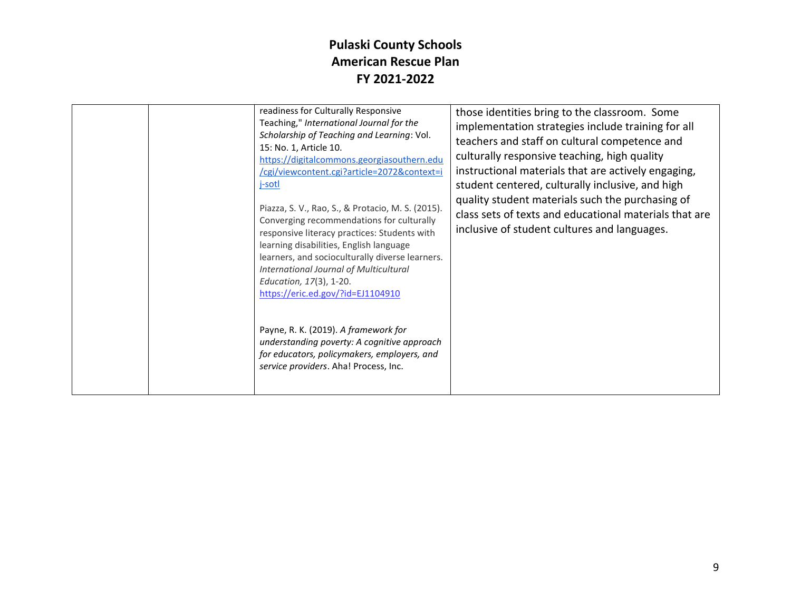| readiness for Culturally Responsive<br>Teaching," International Journal for the<br>Scholarship of Teaching and Learning: Vol.<br>15: No. 1, Article 10.<br>https://digitalcommons.georgiasouthern.edu<br>/cgi/viewcontent.cgi?article=2072&context=i<br>j-sotl<br>Piazza, S. V., Rao, S., & Protacio, M. S. (2015).<br>Converging recommendations for culturally<br>responsive literacy practices: Students with<br>learning disabilities, English language<br>learners, and socioculturally diverse learners.<br>International Journal of Multicultural<br>Education, 17(3), 1-20.<br>https://eric.ed.gov/?id=EJ1104910 | those identities bring to the classroom. Some<br>implementation strategies include training for all<br>teachers and staff on cultural competence and<br>culturally responsive teaching, high quality<br>instructional materials that are actively engaging,<br>student centered, culturally inclusive, and high<br>quality student materials such the purchasing of<br>class sets of texts and educational materials that are<br>inclusive of student cultures and languages. |
|--------------------------------------------------------------------------------------------------------------------------------------------------------------------------------------------------------------------------------------------------------------------------------------------------------------------------------------------------------------------------------------------------------------------------------------------------------------------------------------------------------------------------------------------------------------------------------------------------------------------------|-------------------------------------------------------------------------------------------------------------------------------------------------------------------------------------------------------------------------------------------------------------------------------------------------------------------------------------------------------------------------------------------------------------------------------------------------------------------------------|
| Payne, R. K. (2019). A framework for<br>understanding poverty: A cognitive approach<br>for educators, policymakers, employers, and<br>service providers. Aha! Process, Inc.                                                                                                                                                                                                                                                                                                                                                                                                                                              |                                                                                                                                                                                                                                                                                                                                                                                                                                                                               |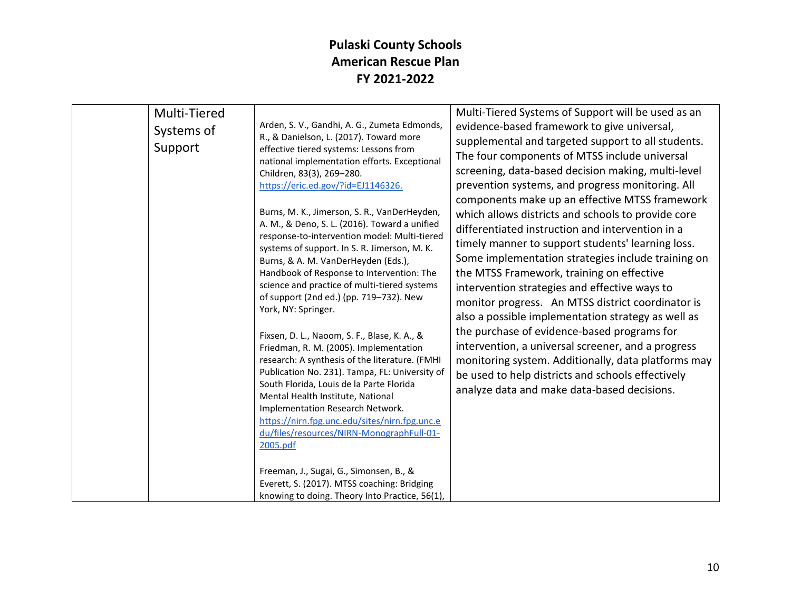| Multi-Tiered<br>Systems of<br>Support | Arden, S. V., Gandhi, A. G., Zumeta Edmonds,<br>R., & Danielson, L. (2017). Toward more<br>effective tiered systems: Lessons from<br>national implementation efforts. Exceptional<br>Children, 83(3), 269-280.<br>https://eric.ed.gov/?id=EJ1146326.<br>Burns, M. K., Jimerson, S. R., VanDerHeyden,<br>A. M., & Deno, S. L. (2016). Toward a unified<br>response-to-intervention model: Multi-tiered<br>systems of support. In S. R. Jimerson, M. K.<br>Burns, & A. M. VanDerHeyden (Eds.),<br>Handbook of Response to Intervention: The<br>science and practice of multi-tiered systems<br>of support (2nd ed.) (pp. 719-732). New<br>York, NY: Springer.<br>Fixsen, D. L., Naoom, S. F., Blase, K. A., &<br>Friedman, R. M. (2005). Implementation<br>research: A synthesis of the literature. (FMHI<br>Publication No. 231). Tampa, FL: University of<br>South Florida, Louis de la Parte Florida<br>Mental Health Institute, National<br>Implementation Research Network.<br>https://nirn.fpg.unc.edu/sites/nirn.fpg.unc.e<br>du/files/resources/NIRN-MonographFull-01-<br>2005.pdf<br>Freeman, J., Sugai, G., Simonsen, B., & | Multi-Tiered Systems of Support will be used as an<br>evidence-based framework to give universal,<br>supplemental and targeted support to all students.<br>The four components of MTSS include universal<br>screening, data-based decision making, multi-level<br>prevention systems, and progress monitoring. All<br>components make up an effective MTSS framework<br>which allows districts and schools to provide core<br>differentiated instruction and intervention in a<br>timely manner to support students' learning loss.<br>Some implementation strategies include training on<br>the MTSS Framework, training on effective<br>intervention strategies and effective ways to<br>monitor progress. An MTSS district coordinator is<br>also a possible implementation strategy as well as<br>the purchase of evidence-based programs for<br>intervention, a universal screener, and a progress<br>monitoring system. Additionally, data platforms may<br>be used to help districts and schools effectively<br>analyze data and make data-based decisions. |
|---------------------------------------|-------------------------------------------------------------------------------------------------------------------------------------------------------------------------------------------------------------------------------------------------------------------------------------------------------------------------------------------------------------------------------------------------------------------------------------------------------------------------------------------------------------------------------------------------------------------------------------------------------------------------------------------------------------------------------------------------------------------------------------------------------------------------------------------------------------------------------------------------------------------------------------------------------------------------------------------------------------------------------------------------------------------------------------------------------------------------------------------------------------------------------------|--------------------------------------------------------------------------------------------------------------------------------------------------------------------------------------------------------------------------------------------------------------------------------------------------------------------------------------------------------------------------------------------------------------------------------------------------------------------------------------------------------------------------------------------------------------------------------------------------------------------------------------------------------------------------------------------------------------------------------------------------------------------------------------------------------------------------------------------------------------------------------------------------------------------------------------------------------------------------------------------------------------------------------------------------------------------|
|                                       | Everett, S. (2017). MTSS coaching: Bridging<br>knowing to doing. Theory Into Practice, 56(1),                                                                                                                                                                                                                                                                                                                                                                                                                                                                                                                                                                                                                                                                                                                                                                                                                                                                                                                                                                                                                                       |                                                                                                                                                                                                                                                                                                                                                                                                                                                                                                                                                                                                                                                                                                                                                                                                                                                                                                                                                                                                                                                                    |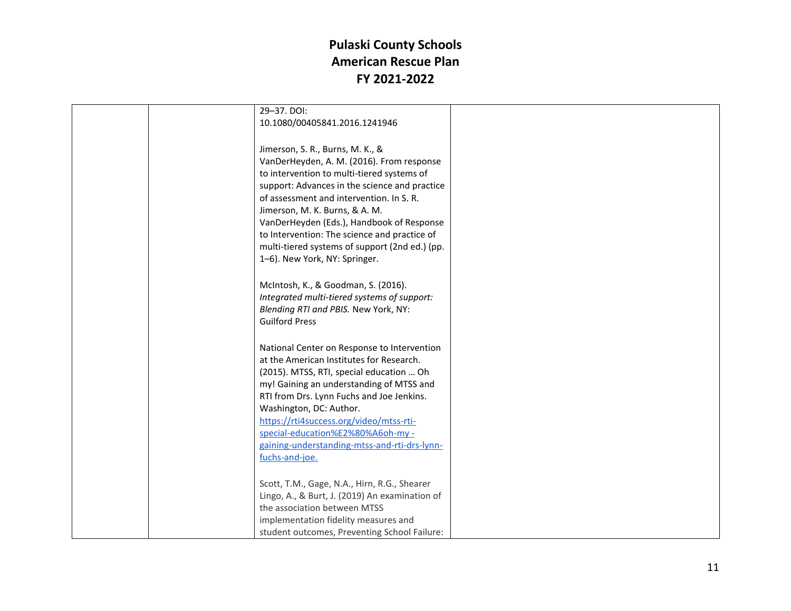|  | 29-37. DOI:                                                                                                                                                                                                                                                                                                                                                                                               |  |
|--|-----------------------------------------------------------------------------------------------------------------------------------------------------------------------------------------------------------------------------------------------------------------------------------------------------------------------------------------------------------------------------------------------------------|--|
|  | 10.1080/00405841.2016.1241946                                                                                                                                                                                                                                                                                                                                                                             |  |
|  |                                                                                                                                                                                                                                                                                                                                                                                                           |  |
|  | Jimerson, S. R., Burns, M. K., &<br>VanDerHeyden, A. M. (2016). From response<br>to intervention to multi-tiered systems of<br>support: Advances in the science and practice<br>of assessment and intervention. In S. R.<br>Jimerson, M. K. Burns, & A. M.<br>VanDerHeyden (Eds.), Handbook of Response<br>to Intervention: The science and practice of<br>multi-tiered systems of support (2nd ed.) (pp. |  |
|  | 1-6). New York, NY: Springer.                                                                                                                                                                                                                                                                                                                                                                             |  |
|  |                                                                                                                                                                                                                                                                                                                                                                                                           |  |
|  | McIntosh, K., & Goodman, S. (2016).<br>Integrated multi-tiered systems of support:<br>Blending RTI and PBIS. New York, NY:<br><b>Guilford Press</b>                                                                                                                                                                                                                                                       |  |
|  | National Center on Response to Intervention                                                                                                                                                                                                                                                                                                                                                               |  |
|  | at the American Institutes for Research.                                                                                                                                                                                                                                                                                                                                                                  |  |
|  | (2015). MTSS, RTI, special education  Oh                                                                                                                                                                                                                                                                                                                                                                  |  |
|  | my! Gaining an understanding of MTSS and                                                                                                                                                                                                                                                                                                                                                                  |  |
|  | RTI from Drs. Lynn Fuchs and Joe Jenkins.                                                                                                                                                                                                                                                                                                                                                                 |  |
|  | Washington, DC: Author.                                                                                                                                                                                                                                                                                                                                                                                   |  |
|  | https://rti4success.org/video/mtss-rti-                                                                                                                                                                                                                                                                                                                                                                   |  |
|  | special-education%E2%80%A6oh-my -                                                                                                                                                                                                                                                                                                                                                                         |  |
|  | gaining-understanding-mtss-and-rti-drs-lynn-                                                                                                                                                                                                                                                                                                                                                              |  |
|  | fuchs-and-joe.                                                                                                                                                                                                                                                                                                                                                                                            |  |
|  |                                                                                                                                                                                                                                                                                                                                                                                                           |  |
|  | Scott, T.M., Gage, N.A., Hirn, R.G., Shearer                                                                                                                                                                                                                                                                                                                                                              |  |
|  | Lingo, A., & Burt, J. (2019) An examination of<br>the association between MTSS                                                                                                                                                                                                                                                                                                                            |  |
|  | implementation fidelity measures and                                                                                                                                                                                                                                                                                                                                                                      |  |
|  | student outcomes, Preventing School Failure:                                                                                                                                                                                                                                                                                                                                                              |  |
|  |                                                                                                                                                                                                                                                                                                                                                                                                           |  |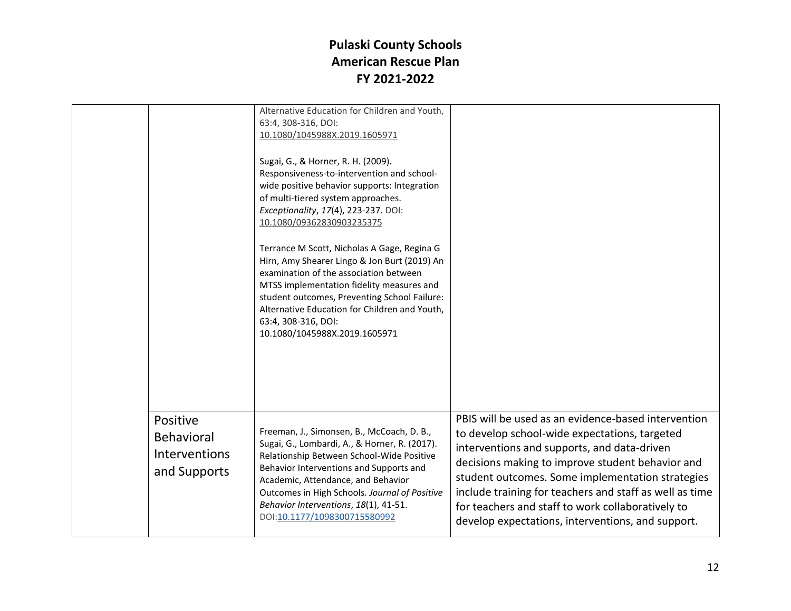|                                                                | Alternative Education for Children and Youth,<br>63:4, 308-316, DOI:<br>10.1080/1045988X.2019.1605971                                                                                                                                                                                                                                               |                                                                                                                                                                                                                                                                                                                                                                                                                                  |
|----------------------------------------------------------------|-----------------------------------------------------------------------------------------------------------------------------------------------------------------------------------------------------------------------------------------------------------------------------------------------------------------------------------------------------|----------------------------------------------------------------------------------------------------------------------------------------------------------------------------------------------------------------------------------------------------------------------------------------------------------------------------------------------------------------------------------------------------------------------------------|
|                                                                | Sugai, G., & Horner, R. H. (2009).<br>Responsiveness-to-intervention and school-<br>wide positive behavior supports: Integration<br>of multi-tiered system approaches.<br>Exceptionality, 17(4), 223-237. DOI:<br>10.1080/09362830903235375                                                                                                         |                                                                                                                                                                                                                                                                                                                                                                                                                                  |
|                                                                | Terrance M Scott, Nicholas A Gage, Regina G<br>Hirn, Amy Shearer Lingo & Jon Burt (2019) An<br>examination of the association between<br>MTSS implementation fidelity measures and<br>student outcomes, Preventing School Failure:<br>Alternative Education for Children and Youth,<br>63:4, 308-316, DOI:<br>10.1080/1045988X.2019.1605971         |                                                                                                                                                                                                                                                                                                                                                                                                                                  |
| Positive<br><b>Behavioral</b><br>Interventions<br>and Supports | Freeman, J., Simonsen, B., McCoach, D. B.,<br>Sugai, G., Lombardi, A., & Horner, R. (2017).<br>Relationship Between School-Wide Positive<br>Behavior Interventions and Supports and<br>Academic, Attendance, and Behavior<br>Outcomes in High Schools. Journal of Positive<br>Behavior Interventions, 18(1), 41-51.<br>DOI:10.1177/1098300715580992 | PBIS will be used as an evidence-based intervention<br>to develop school-wide expectations, targeted<br>interventions and supports, and data-driven<br>decisions making to improve student behavior and<br>student outcomes. Some implementation strategies<br>include training for teachers and staff as well as time<br>for teachers and staff to work collaboratively to<br>develop expectations, interventions, and support. |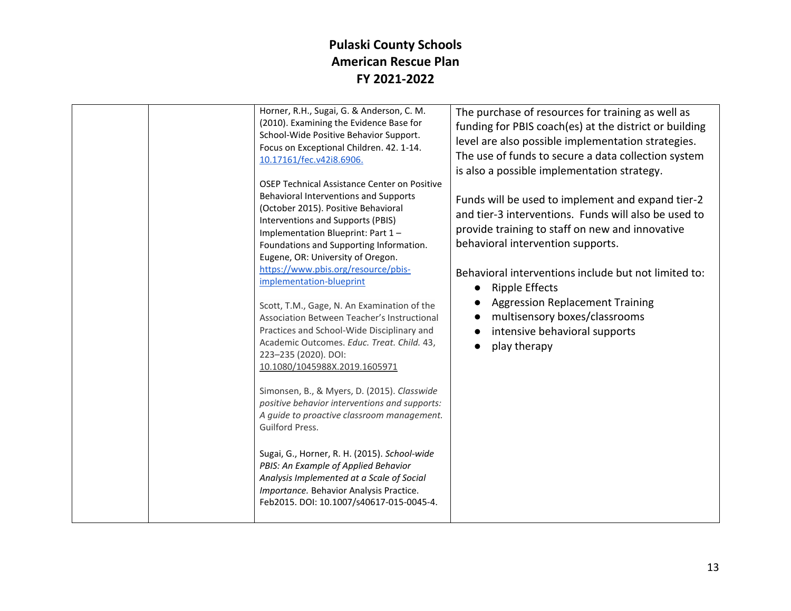| Horner, R.H., Sugai, G. & Anderson, C. M.<br>(2010). Examining the Evidence Base for<br>School-Wide Positive Behavior Support.<br>Focus on Exceptional Children. 42. 1-14.<br>10.17161/fec.v42i8.6906.<br>OSEP Technical Assistance Center on Positive<br>Behavioral Interventions and Supports<br>(October 2015). Positive Behavioral<br>Interventions and Supports (PBIS)<br>Implementation Blueprint: Part 1-<br>Foundations and Supporting Information.<br>Eugene, OR: University of Oregon.<br>https://www.pbis.org/resource/pbis-<br>implementation-blueprint<br>Scott, T.M., Gage, N. An Examination of the<br>Association Between Teacher's Instructional<br>Practices and School-Wide Disciplinary and<br>Academic Outcomes. Educ. Treat. Child. 43,<br>223-235 (2020). DOI:<br>10.1080/1045988X.2019.1605971<br>Simonsen, B., & Myers, D. (2015). Classwide<br>positive behavior interventions and supports:<br>A guide to proactive classroom management.<br>Guilford Press. | The purchase of resources for training as well as<br>funding for PBIS coach(es) at the district or building<br>level are also possible implementation strategies.<br>The use of funds to secure a data collection system<br>is also a possible implementation strategy.<br>Funds will be used to implement and expand tier-2<br>and tier-3 interventions. Funds will also be used to<br>provide training to staff on new and innovative<br>behavioral intervention supports.<br>Behavioral interventions include but not limited to:<br><b>Ripple Effects</b><br>$\bullet$<br><b>Aggression Replacement Training</b><br>multisensory boxes/classrooms<br>$\bullet$<br>intensive behavioral supports<br>play therapy |
|-----------------------------------------------------------------------------------------------------------------------------------------------------------------------------------------------------------------------------------------------------------------------------------------------------------------------------------------------------------------------------------------------------------------------------------------------------------------------------------------------------------------------------------------------------------------------------------------------------------------------------------------------------------------------------------------------------------------------------------------------------------------------------------------------------------------------------------------------------------------------------------------------------------------------------------------------------------------------------------------|---------------------------------------------------------------------------------------------------------------------------------------------------------------------------------------------------------------------------------------------------------------------------------------------------------------------------------------------------------------------------------------------------------------------------------------------------------------------------------------------------------------------------------------------------------------------------------------------------------------------------------------------------------------------------------------------------------------------|
| Sugai, G., Horner, R. H. (2015). School-wide<br>PBIS: An Example of Applied Behavior<br>Analysis Implemented at a Scale of Social<br>Importance. Behavior Analysis Practice.<br>Feb2015. DOI: 10.1007/s40617-015-0045-4.                                                                                                                                                                                                                                                                                                                                                                                                                                                                                                                                                                                                                                                                                                                                                                |                                                                                                                                                                                                                                                                                                                                                                                                                                                                                                                                                                                                                                                                                                                     |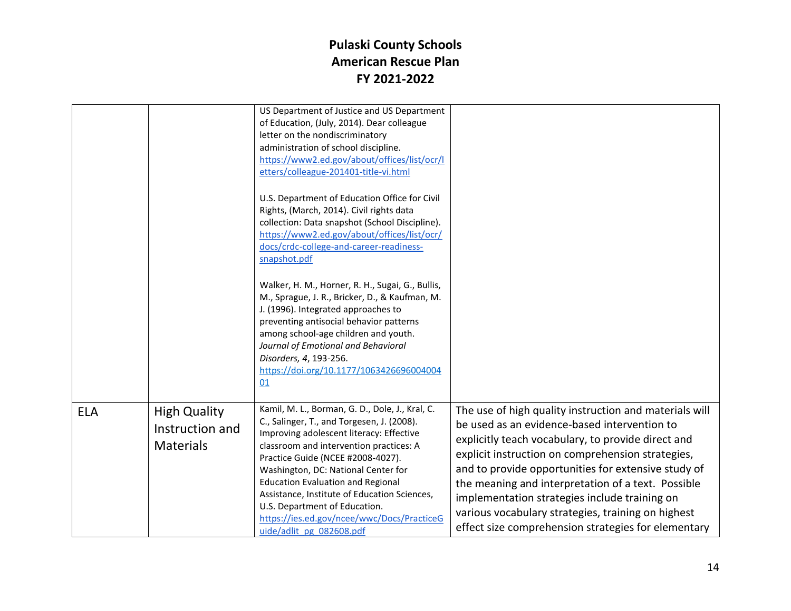|            |                                                            | US Department of Justice and US Department<br>of Education, (July, 2014). Dear colleague<br>letter on the nondiscriminatory<br>administration of school discipline.<br>https://www2.ed.gov/about/offices/list/ocr/l<br>etters/colleague-201401-title-vi.html                                                                                                                                                                                                            |                                                                                                                                                                                                                                                                                                                                                                                                                                                                                              |
|------------|------------------------------------------------------------|-------------------------------------------------------------------------------------------------------------------------------------------------------------------------------------------------------------------------------------------------------------------------------------------------------------------------------------------------------------------------------------------------------------------------------------------------------------------------|----------------------------------------------------------------------------------------------------------------------------------------------------------------------------------------------------------------------------------------------------------------------------------------------------------------------------------------------------------------------------------------------------------------------------------------------------------------------------------------------|
|            |                                                            | U.S. Department of Education Office for Civil<br>Rights, (March, 2014). Civil rights data<br>collection: Data snapshot (School Discipline).<br>https://www2.ed.gov/about/offices/list/ocr/<br>docs/crdc-college-and-career-readiness-<br>snapshot.pdf                                                                                                                                                                                                                   |                                                                                                                                                                                                                                                                                                                                                                                                                                                                                              |
|            |                                                            | Walker, H. M., Horner, R. H., Sugai, G., Bullis,<br>M., Sprague, J. R., Bricker, D., & Kaufman, M.<br>J. (1996). Integrated approaches to<br>preventing antisocial behavior patterns<br>among school-age children and youth.<br>Journal of Emotional and Behavioral<br>Disorders, 4, 193-256.<br>https://doi.org/10.1177/1063426696004004<br>01                                                                                                                         |                                                                                                                                                                                                                                                                                                                                                                                                                                                                                              |
| <b>ELA</b> | <b>High Quality</b><br>Instruction and<br><b>Materials</b> | Kamil, M. L., Borman, G. D., Dole, J., Kral, C.<br>C., Salinger, T., and Torgesen, J. (2008).<br>Improving adolescent literacy: Effective<br>classroom and intervention practices: A<br>Practice Guide (NCEE #2008-4027).<br>Washington, DC: National Center for<br><b>Education Evaluation and Regional</b><br>Assistance, Institute of Education Sciences,<br>U.S. Department of Education.<br>https://ies.ed.gov/ncee/wwc/Docs/PracticeG<br>uide/adlit pg 082608.pdf | The use of high quality instruction and materials will<br>be used as an evidence-based intervention to<br>explicitly teach vocabulary, to provide direct and<br>explicit instruction on comprehension strategies,<br>and to provide opportunities for extensive study of<br>the meaning and interpretation of a text. Possible<br>implementation strategies include training on<br>various vocabulary strategies, training on highest<br>effect size comprehension strategies for elementary |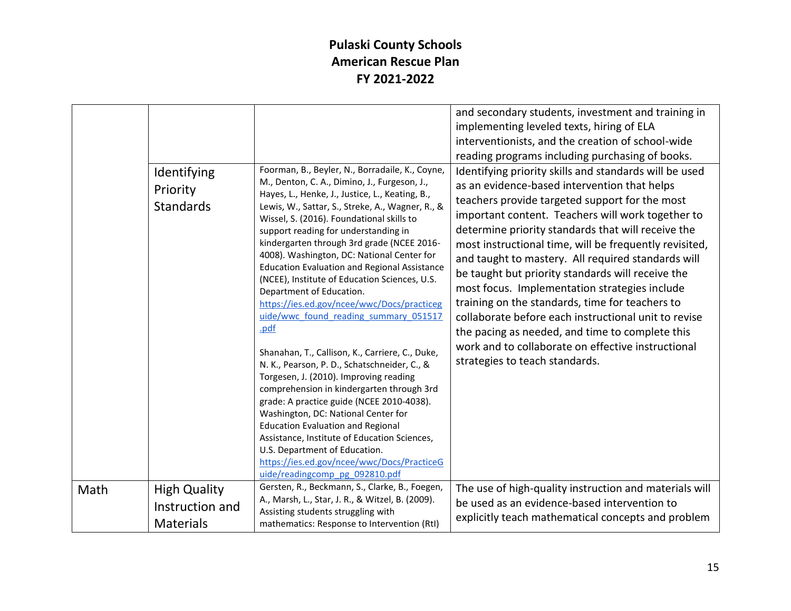| Identifying<br>Priority<br>Standards |                 | Foorman, B., Beyler, N., Borradaile, K., Coyne,<br>M., Denton, C. A., Dimino, J., Furgeson, J.,<br>Hayes, L., Henke, J., Justice, L., Keating, B.,<br>Lewis, W., Sattar, S., Streke, A., Wagner, R., &<br>Wissel, S. (2016). Foundational skills to<br>support reading for understanding in<br>kindergarten through 3rd grade (NCEE 2016-<br>4008). Washington, DC: National Center for<br><b>Education Evaluation and Regional Assistance</b><br>(NCEE), Institute of Education Sciences, U.S.<br>Department of Education.<br>https://ies.ed.gov/ncee/wwc/Docs/practiceg<br>uide/wwc found reading summary 051517<br>.pdf<br>Shanahan, T., Callison, K., Carriere, C., Duke,<br>N. K., Pearson, P. D., Schatschneider, C., &<br>Torgesen, J. (2010). Improving reading<br>comprehension in kindergarten through 3rd<br>grade: A practice guide (NCEE 2010-4038).<br>Washington, DC: National Center for<br><b>Education Evaluation and Regional</b><br>Assistance, Institute of Education Sciences,<br>U.S. Department of Education.<br>https://ies.ed.gov/ncee/wwc/Docs/PracticeG<br>uide/readingcomp pg 092810.pdf<br>Gersten, R., Beckmann, S., Clarke, B., Foegen, | and secondary students, investment and training in<br>implementing leveled texts, hiring of ELA<br>interventionists, and the creation of school-wide<br>reading programs including purchasing of books.<br>Identifying priority skills and standards will be used<br>as an evidence-based intervention that helps<br>teachers provide targeted support for the most<br>important content. Teachers will work together to<br>determine priority standards that will receive the<br>most instructional time, will be frequently revisited,<br>and taught to mastery. All required standards will<br>be taught but priority standards will receive the<br>most focus. Implementation strategies include<br>training on the standards, time for teachers to<br>collaborate before each instructional unit to revise<br>the pacing as needed, and time to complete this<br>work and to collaborate on effective instructional<br>strategies to teach standards. |
|--------------------------------------|-----------------|-------------------------------------------------------------------------------------------------------------------------------------------------------------------------------------------------------------------------------------------------------------------------------------------------------------------------------------------------------------------------------------------------------------------------------------------------------------------------------------------------------------------------------------------------------------------------------------------------------------------------------------------------------------------------------------------------------------------------------------------------------------------------------------------------------------------------------------------------------------------------------------------------------------------------------------------------------------------------------------------------------------------------------------------------------------------------------------------------------------------------------------------------------------------------|------------------------------------------------------------------------------------------------------------------------------------------------------------------------------------------------------------------------------------------------------------------------------------------------------------------------------------------------------------------------------------------------------------------------------------------------------------------------------------------------------------------------------------------------------------------------------------------------------------------------------------------------------------------------------------------------------------------------------------------------------------------------------------------------------------------------------------------------------------------------------------------------------------------------------------------------------------|
| Math<br><b>High Quality</b>          |                 | A., Marsh, L., Star, J. R., & Witzel, B. (2009).                                                                                                                                                                                                                                                                                                                                                                                                                                                                                                                                                                                                                                                                                                                                                                                                                                                                                                                                                                                                                                                                                                                        | The use of high-quality instruction and materials will<br>be used as an evidence-based intervention to                                                                                                                                                                                                                                                                                                                                                                                                                                                                                                                                                                                                                                                                                                                                                                                                                                                     |
|                                      | Instruction and | Assisting students struggling with                                                                                                                                                                                                                                                                                                                                                                                                                                                                                                                                                                                                                                                                                                                                                                                                                                                                                                                                                                                                                                                                                                                                      |                                                                                                                                                                                                                                                                                                                                                                                                                                                                                                                                                                                                                                                                                                                                                                                                                                                                                                                                                            |
| <b>Materials</b>                     |                 | mathematics: Response to Intervention (RtI)                                                                                                                                                                                                                                                                                                                                                                                                                                                                                                                                                                                                                                                                                                                                                                                                                                                                                                                                                                                                                                                                                                                             | explicitly teach mathematical concepts and problem                                                                                                                                                                                                                                                                                                                                                                                                                                                                                                                                                                                                                                                                                                                                                                                                                                                                                                         |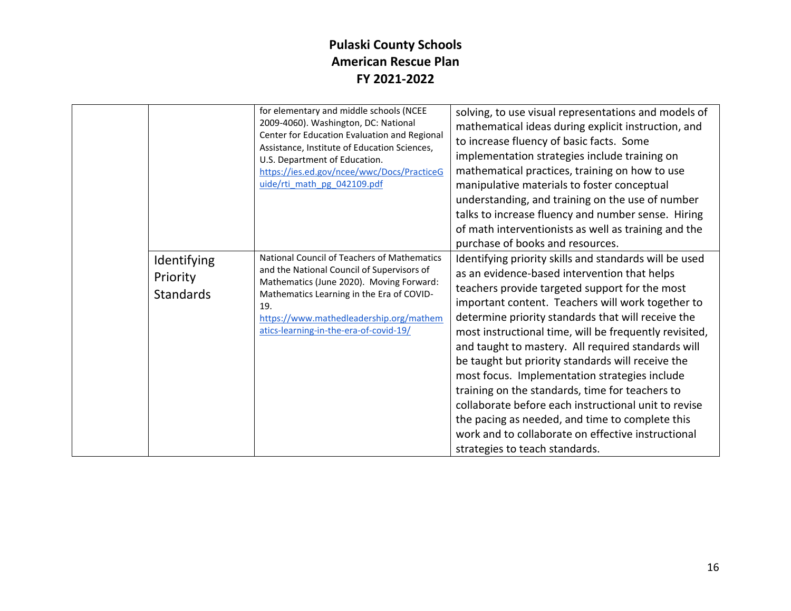|                                             | for elementary and middle schools (NCEE<br>2009-4060). Washington, DC: National<br>Center for Education Evaluation and Regional<br>Assistance, Institute of Education Sciences,<br>U.S. Department of Education.<br>https://ies.ed.gov/ncee/wwc/Docs/PracticeG<br>uide/rti_math_pg_042109.pdf | solving, to use visual representations and models of<br>mathematical ideas during explicit instruction, and<br>to increase fluency of basic facts. Some<br>implementation strategies include training on<br>mathematical practices, training on how to use<br>manipulative materials to foster conceptual<br>understanding, and training on the use of number<br>talks to increase fluency and number sense. Hiring<br>of math interventionists as well as training and the<br>purchase of books and resources.                                                                                                                                                                                                                                 |
|---------------------------------------------|-----------------------------------------------------------------------------------------------------------------------------------------------------------------------------------------------------------------------------------------------------------------------------------------------|-------------------------------------------------------------------------------------------------------------------------------------------------------------------------------------------------------------------------------------------------------------------------------------------------------------------------------------------------------------------------------------------------------------------------------------------------------------------------------------------------------------------------------------------------------------------------------------------------------------------------------------------------------------------------------------------------------------------------------------------------|
| Identifying<br>Priority<br><b>Standards</b> | National Council of Teachers of Mathematics<br>and the National Council of Supervisors of<br>Mathematics (June 2020). Moving Forward:<br>Mathematics Learning in the Era of COVID-<br>19.<br>https://www.mathedleadership.org/mathem<br>atics-learning-in-the-era-of-covid-19/                | Identifying priority skills and standards will be used<br>as an evidence-based intervention that helps<br>teachers provide targeted support for the most<br>important content. Teachers will work together to<br>determine priority standards that will receive the<br>most instructional time, will be frequently revisited,<br>and taught to mastery. All required standards will<br>be taught but priority standards will receive the<br>most focus. Implementation strategies include<br>training on the standards, time for teachers to<br>collaborate before each instructional unit to revise<br>the pacing as needed, and time to complete this<br>work and to collaborate on effective instructional<br>strategies to teach standards. |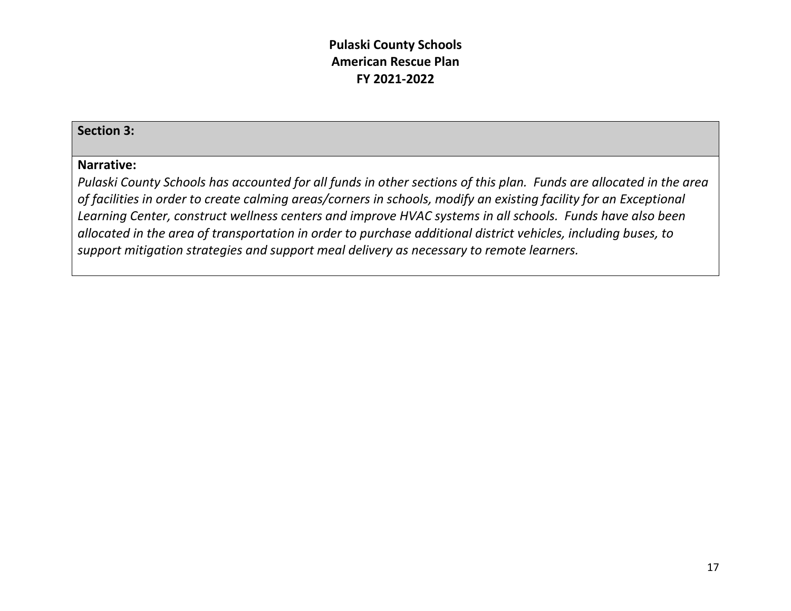#### **Section 3:**

#### **Narrative:**

*Pulaski County Schools has accounted for all funds in other sections of this plan. Funds are allocated in the area of facilities in order to create calming areas/corners in schools, modify an existing facility for an Exceptional Learning Center, construct wellness centers and improve HVAC systems in all schools. Funds have also been allocated in the area of transportation in order to purchase additional district vehicles, including buses, to support mitigation strategies and support meal delivery as necessary to remote learners.*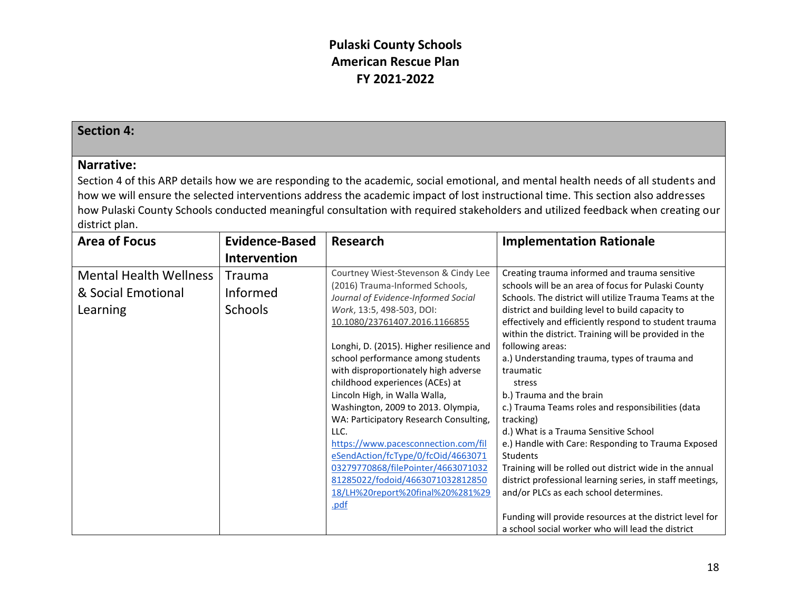| <b>Section 4:</b>             |                       |                                                                                                                                                                                                                                                                                                                                                                                                                                                                                                                       |                                                                                                                                                                                                                                                                                                                                                                                                                                                                                                                                                                                                                                                                                                        |
|-------------------------------|-----------------------|-----------------------------------------------------------------------------------------------------------------------------------------------------------------------------------------------------------------------------------------------------------------------------------------------------------------------------------------------------------------------------------------------------------------------------------------------------------------------------------------------------------------------|--------------------------------------------------------------------------------------------------------------------------------------------------------------------------------------------------------------------------------------------------------------------------------------------------------------------------------------------------------------------------------------------------------------------------------------------------------------------------------------------------------------------------------------------------------------------------------------------------------------------------------------------------------------------------------------------------------|
| Narrative:                    |                       |                                                                                                                                                                                                                                                                                                                                                                                                                                                                                                                       |                                                                                                                                                                                                                                                                                                                                                                                                                                                                                                                                                                                                                                                                                                        |
|                               |                       |                                                                                                                                                                                                                                                                                                                                                                                                                                                                                                                       | Section 4 of this ARP details how we are responding to the academic, social emotional, and mental health needs of all students and                                                                                                                                                                                                                                                                                                                                                                                                                                                                                                                                                                     |
|                               |                       |                                                                                                                                                                                                                                                                                                                                                                                                                                                                                                                       | how we will ensure the selected interventions address the academic impact of lost instructional time. This section also addresses                                                                                                                                                                                                                                                                                                                                                                                                                                                                                                                                                                      |
|                               |                       |                                                                                                                                                                                                                                                                                                                                                                                                                                                                                                                       | how Pulaski County Schools conducted meaningful consultation with required stakeholders and utilized feedback when creating our                                                                                                                                                                                                                                                                                                                                                                                                                                                                                                                                                                        |
| district plan.                |                       |                                                                                                                                                                                                                                                                                                                                                                                                                                                                                                                       |                                                                                                                                                                                                                                                                                                                                                                                                                                                                                                                                                                                                                                                                                                        |
| <b>Area of Focus</b>          | <b>Evidence-Based</b> | <b>Research</b>                                                                                                                                                                                                                                                                                                                                                                                                                                                                                                       | <b>Implementation Rationale</b>                                                                                                                                                                                                                                                                                                                                                                                                                                                                                                                                                                                                                                                                        |
|                               | <b>Intervention</b>   |                                                                                                                                                                                                                                                                                                                                                                                                                                                                                                                       |                                                                                                                                                                                                                                                                                                                                                                                                                                                                                                                                                                                                                                                                                                        |
| <b>Mental Health Wellness</b> | <b>Trauma</b>         | Courtney Wiest-Stevenson & Cindy Lee                                                                                                                                                                                                                                                                                                                                                                                                                                                                                  | Creating trauma informed and trauma sensitive                                                                                                                                                                                                                                                                                                                                                                                                                                                                                                                                                                                                                                                          |
| & Social Emotional            | Informed              | (2016) Trauma-Informed Schools,                                                                                                                                                                                                                                                                                                                                                                                                                                                                                       | schools will be an area of focus for Pulaski County                                                                                                                                                                                                                                                                                                                                                                                                                                                                                                                                                                                                                                                    |
|                               |                       | Journal of Evidence-Informed Social                                                                                                                                                                                                                                                                                                                                                                                                                                                                                   | Schools. The district will utilize Trauma Teams at the                                                                                                                                                                                                                                                                                                                                                                                                                                                                                                                                                                                                                                                 |
| Learning                      | <b>Schools</b>        | Work, 13:5, 498-503, DOI:                                                                                                                                                                                                                                                                                                                                                                                                                                                                                             | district and building level to build capacity to                                                                                                                                                                                                                                                                                                                                                                                                                                                                                                                                                                                                                                                       |
|                               |                       |                                                                                                                                                                                                                                                                                                                                                                                                                                                                                                                       |                                                                                                                                                                                                                                                                                                                                                                                                                                                                                                                                                                                                                                                                                                        |
|                               |                       |                                                                                                                                                                                                                                                                                                                                                                                                                                                                                                                       |                                                                                                                                                                                                                                                                                                                                                                                                                                                                                                                                                                                                                                                                                                        |
|                               |                       |                                                                                                                                                                                                                                                                                                                                                                                                                                                                                                                       |                                                                                                                                                                                                                                                                                                                                                                                                                                                                                                                                                                                                                                                                                                        |
|                               |                       |                                                                                                                                                                                                                                                                                                                                                                                                                                                                                                                       |                                                                                                                                                                                                                                                                                                                                                                                                                                                                                                                                                                                                                                                                                                        |
|                               |                       |                                                                                                                                                                                                                                                                                                                                                                                                                                                                                                                       |                                                                                                                                                                                                                                                                                                                                                                                                                                                                                                                                                                                                                                                                                                        |
|                               |                       |                                                                                                                                                                                                                                                                                                                                                                                                                                                                                                                       |                                                                                                                                                                                                                                                                                                                                                                                                                                                                                                                                                                                                                                                                                                        |
|                               |                       |                                                                                                                                                                                                                                                                                                                                                                                                                                                                                                                       |                                                                                                                                                                                                                                                                                                                                                                                                                                                                                                                                                                                                                                                                                                        |
|                               |                       |                                                                                                                                                                                                                                                                                                                                                                                                                                                                                                                       |                                                                                                                                                                                                                                                                                                                                                                                                                                                                                                                                                                                                                                                                                                        |
|                               |                       |                                                                                                                                                                                                                                                                                                                                                                                                                                                                                                                       |                                                                                                                                                                                                                                                                                                                                                                                                                                                                                                                                                                                                                                                                                                        |
|                               |                       |                                                                                                                                                                                                                                                                                                                                                                                                                                                                                                                       |                                                                                                                                                                                                                                                                                                                                                                                                                                                                                                                                                                                                                                                                                                        |
|                               |                       |                                                                                                                                                                                                                                                                                                                                                                                                                                                                                                                       |                                                                                                                                                                                                                                                                                                                                                                                                                                                                                                                                                                                                                                                                                                        |
|                               |                       |                                                                                                                                                                                                                                                                                                                                                                                                                                                                                                                       |                                                                                                                                                                                                                                                                                                                                                                                                                                                                                                                                                                                                                                                                                                        |
|                               |                       |                                                                                                                                                                                                                                                                                                                                                                                                                                                                                                                       |                                                                                                                                                                                                                                                                                                                                                                                                                                                                                                                                                                                                                                                                                                        |
|                               |                       |                                                                                                                                                                                                                                                                                                                                                                                                                                                                                                                       |                                                                                                                                                                                                                                                                                                                                                                                                                                                                                                                                                                                                                                                                                                        |
|                               |                       |                                                                                                                                                                                                                                                                                                                                                                                                                                                                                                                       |                                                                                                                                                                                                                                                                                                                                                                                                                                                                                                                                                                                                                                                                                                        |
|                               |                       |                                                                                                                                                                                                                                                                                                                                                                                                                                                                                                                       |                                                                                                                                                                                                                                                                                                                                                                                                                                                                                                                                                                                                                                                                                                        |
|                               |                       |                                                                                                                                                                                                                                                                                                                                                                                                                                                                                                                       |                                                                                                                                                                                                                                                                                                                                                                                                                                                                                                                                                                                                                                                                                                        |
|                               |                       | 10.1080/23761407.2016.1166855<br>Longhi, D. (2015). Higher resilience and<br>school performance among students<br>with disproportionately high adverse<br>childhood experiences (ACEs) at<br>Lincoln High, in Walla Walla,<br>Washington, 2009 to 2013. Olympia,<br>WA: Participatory Research Consulting,<br>LLC.<br>https://www.pacesconnection.com/fil<br>eSendAction/fcType/0/fcOid/4663071<br>03279770868/filePointer/4663071032<br>81285022/fodoid/4663071032812850<br>18/LH%20report%20final%20%281%29<br>.pdf | effectively and efficiently respond to student trauma<br>within the district. Training will be provided in the<br>following areas:<br>a.) Understanding trauma, types of trauma and<br>traumatic<br>stress<br>b.) Trauma and the brain<br>c.) Trauma Teams roles and responsibilities (data<br>tracking)<br>d.) What is a Trauma Sensitive School<br>e.) Handle with Care: Responding to Trauma Exposed<br>Students<br>Training will be rolled out district wide in the annual<br>district professional learning series, in staff meetings,<br>and/or PLCs as each school determines.<br>Funding will provide resources at the district level for<br>a school social worker who will lead the district |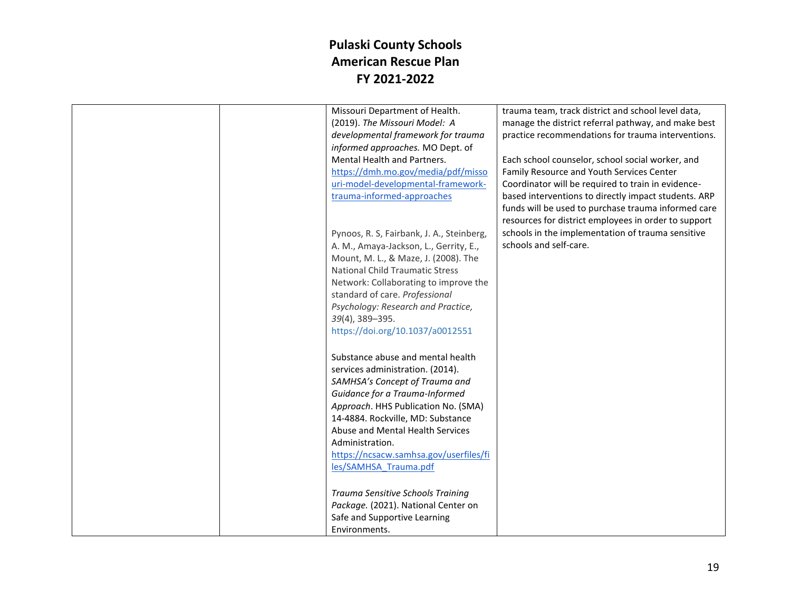|  | Missouri Department of Health.            | trauma team, track district and school level data,   |
|--|-------------------------------------------|------------------------------------------------------|
|  | (2019). The Missouri Model: A             | manage the district referral pathway, and make best  |
|  | developmental framework for trauma        | practice recommendations for trauma interventions.   |
|  | informed approaches. MO Dept. of          |                                                      |
|  | Mental Health and Partners.               | Each school counselor, school social worker, and     |
|  |                                           |                                                      |
|  | https://dmh.mo.gov/media/pdf/misso        | Family Resource and Youth Services Center            |
|  | uri-model-developmental-framework-        | Coordinator will be required to train in evidence-   |
|  | trauma-informed-approaches                | based interventions to directly impact students. ARP |
|  |                                           | funds will be used to purchase trauma informed care  |
|  |                                           | resources for district employees in order to support |
|  | Pynoos, R. S, Fairbank, J. A., Steinberg, | schools in the implementation of trauma sensitive    |
|  | A. M., Amaya-Jackson, L., Gerrity, E.,    | schools and self-care.                               |
|  | Mount, M. L., & Maze, J. (2008). The      |                                                      |
|  | <b>National Child Traumatic Stress</b>    |                                                      |
|  | Network: Collaborating to improve the     |                                                      |
|  | standard of care. Professional            |                                                      |
|  | Psychology: Research and Practice,        |                                                      |
|  | $39(4)$ , $389 - 395$ .                   |                                                      |
|  | https://doi.org/10.1037/a0012551          |                                                      |
|  |                                           |                                                      |
|  | Substance abuse and mental health         |                                                      |
|  |                                           |                                                      |
|  | services administration. (2014).          |                                                      |
|  | SAMHSA's Concept of Trauma and            |                                                      |
|  | Guidance for a Trauma-Informed            |                                                      |
|  | Approach. HHS Publication No. (SMA)       |                                                      |
|  | 14-4884. Rockville, MD: Substance         |                                                      |
|  | Abuse and Mental Health Services          |                                                      |
|  | Administration.                           |                                                      |
|  | https://ncsacw.samhsa.gov/userfiles/fi    |                                                      |
|  | les/SAMHSA Trauma.pdf                     |                                                      |
|  |                                           |                                                      |
|  | Trauma Sensitive Schools Training         |                                                      |
|  | Package. (2021). National Center on       |                                                      |
|  | Safe and Supportive Learning              |                                                      |
|  | Environments.                             |                                                      |
|  |                                           |                                                      |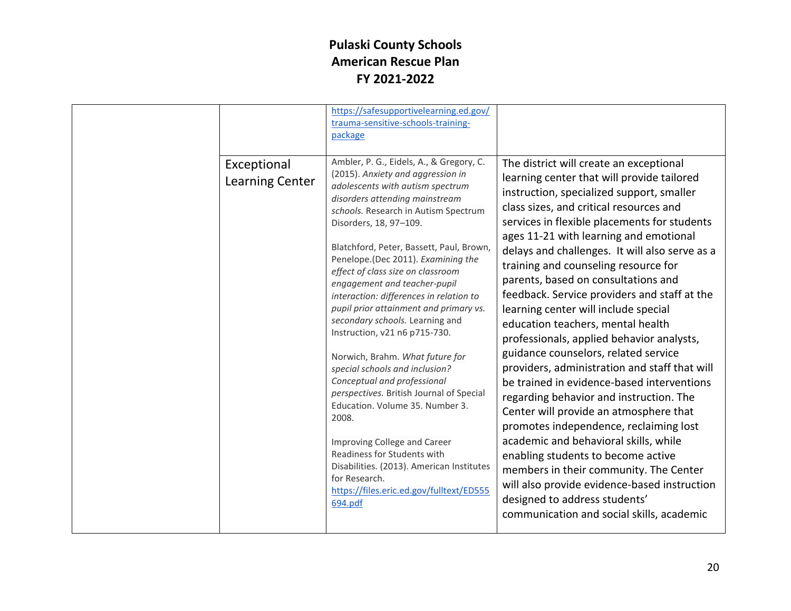|                                       | https://safesupportivelearning.ed.gov/<br>trauma-sensitive-schools-training-<br>package                                                                                                                                                                                                                                                                                                                                                                                                                                                                                                                                                                                                                                                                                                                                                                                                                               |                                                                                                                                                                                                                                                                                                                                                                                                                                                                                                                                                                                                                                                                                                                                                                                                                                                                                                                                                                                                                                                                                                                 |
|---------------------------------------|-----------------------------------------------------------------------------------------------------------------------------------------------------------------------------------------------------------------------------------------------------------------------------------------------------------------------------------------------------------------------------------------------------------------------------------------------------------------------------------------------------------------------------------------------------------------------------------------------------------------------------------------------------------------------------------------------------------------------------------------------------------------------------------------------------------------------------------------------------------------------------------------------------------------------|-----------------------------------------------------------------------------------------------------------------------------------------------------------------------------------------------------------------------------------------------------------------------------------------------------------------------------------------------------------------------------------------------------------------------------------------------------------------------------------------------------------------------------------------------------------------------------------------------------------------------------------------------------------------------------------------------------------------------------------------------------------------------------------------------------------------------------------------------------------------------------------------------------------------------------------------------------------------------------------------------------------------------------------------------------------------------------------------------------------------|
| Exceptional<br><b>Learning Center</b> | Ambler, P. G., Eidels, A., & Gregory, C.<br>(2015). Anxiety and aggression in<br>adolescents with autism spectrum<br>disorders attending mainstream<br>schools. Research in Autism Spectrum<br>Disorders, 18, 97-109.<br>Blatchford, Peter, Bassett, Paul, Brown,<br>Penelope.(Dec 2011). Examining the<br>effect of class size on classroom<br>engagement and teacher-pupil<br>interaction: differences in relation to<br>pupil prior attainment and primary vs.<br>secondary schools. Learning and<br>Instruction, v21 n6 p715-730.<br>Norwich, Brahm. What future for<br>special schools and inclusion?<br>Conceptual and professional<br>perspectives. British Journal of Special<br>Education. Volume 35. Number 3.<br>2008.<br>Improving College and Career<br>Readiness for Students with<br>Disabilities. (2013). American Institutes<br>for Research.<br>https://files.eric.ed.gov/fulltext/ED555<br>694.pdf | The district will create an exceptional<br>learning center that will provide tailored<br>instruction, specialized support, smaller<br>class sizes, and critical resources and<br>services in flexible placements for students<br>ages 11-21 with learning and emotional<br>delays and challenges. It will also serve as a<br>training and counseling resource for<br>parents, based on consultations and<br>feedback. Service providers and staff at the<br>learning center will include special<br>education teachers, mental health<br>professionals, applied behavior analysts,<br>guidance counselors, related service<br>providers, administration and staff that will<br>be trained in evidence-based interventions<br>regarding behavior and instruction. The<br>Center will provide an atmosphere that<br>promotes independence, reclaiming lost<br>academic and behavioral skills, while<br>enabling students to become active<br>members in their community. The Center<br>will also provide evidence-based instruction<br>designed to address students'<br>communication and social skills, academic |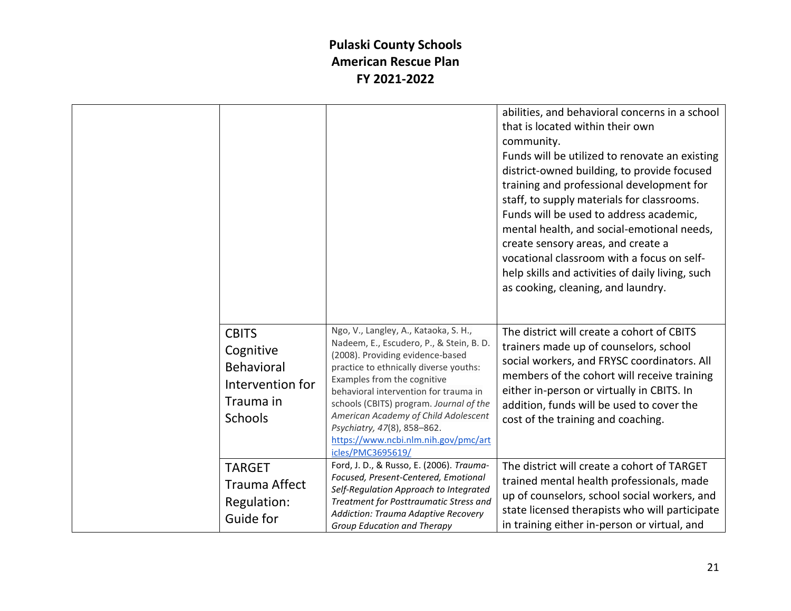|                                                                                                   |                                                                                                                                                                                                                                                                                                                                                                                                                        | abilities, and behavioral concerns in a school<br>that is located within their own<br>community.<br>Funds will be utilized to renovate an existing<br>district-owned building, to provide focused<br>training and professional development for<br>staff, to supply materials for classrooms.<br>Funds will be used to address academic,<br>mental health, and social-emotional needs,<br>create sensory areas, and create a<br>vocational classroom with a focus on self-<br>help skills and activities of daily living, such<br>as cooking, cleaning, and laundry. |
|---------------------------------------------------------------------------------------------------|------------------------------------------------------------------------------------------------------------------------------------------------------------------------------------------------------------------------------------------------------------------------------------------------------------------------------------------------------------------------------------------------------------------------|---------------------------------------------------------------------------------------------------------------------------------------------------------------------------------------------------------------------------------------------------------------------------------------------------------------------------------------------------------------------------------------------------------------------------------------------------------------------------------------------------------------------------------------------------------------------|
| <b>CBITS</b><br>Cognitive<br><b>Behavioral</b><br>Intervention for<br>Trauma in<br><b>Schools</b> | Ngo, V., Langley, A., Kataoka, S. H.,<br>Nadeem, E., Escudero, P., & Stein, B. D.<br>(2008). Providing evidence-based<br>practice to ethnically diverse youths:<br>Examples from the cognitive<br>behavioral intervention for trauma in<br>schools (CBITS) program. Journal of the<br>American Academy of Child Adolescent<br>Psychiatry, 47(8), 858-862.<br>https://www.ncbi.nlm.nih.gov/pmc/art<br>icles/PMC3695619/ | The district will create a cohort of CBITS<br>trainers made up of counselors, school<br>social workers, and FRYSC coordinators. All<br>members of the cohort will receive training<br>either in-person or virtually in CBITS. In<br>addition, funds will be used to cover the<br>cost of the training and coaching.                                                                                                                                                                                                                                                 |
| <b>TARGET</b><br><b>Trauma Affect</b><br>Regulation:<br>Guide for                                 | Ford, J. D., & Russo, E. (2006). Trauma-<br>Focused, Present-Centered, Emotional<br>Self-Regulation Approach to Integrated<br>Treatment for Posttraumatic Stress and<br>Addiction: Trauma Adaptive Recovery<br>Group Education and Therapy                                                                                                                                                                             | The district will create a cohort of TARGET<br>trained mental health professionals, made<br>up of counselors, school social workers, and<br>state licensed therapists who will participate<br>in training either in-person or virtual, and                                                                                                                                                                                                                                                                                                                          |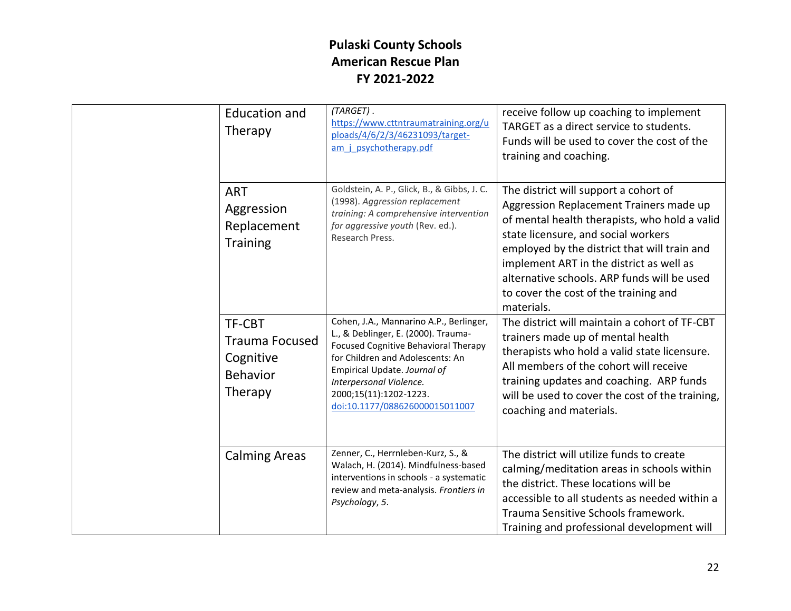| <b>Education and</b><br>Therapy                                                   | (TARGET).<br>https://www.cttntraumatraining.org/u<br>ploads/4/6/2/3/46231093/target-<br>am j psychotherapy.pdf                                                                                                                                                                    | receive follow up coaching to implement<br>TARGET as a direct service to students.<br>Funds will be used to cover the cost of the<br>training and coaching.                                                                                                                                                                                                                |
|-----------------------------------------------------------------------------------|-----------------------------------------------------------------------------------------------------------------------------------------------------------------------------------------------------------------------------------------------------------------------------------|----------------------------------------------------------------------------------------------------------------------------------------------------------------------------------------------------------------------------------------------------------------------------------------------------------------------------------------------------------------------------|
| <b>ART</b><br>Aggression<br>Replacement<br><b>Training</b>                        | Goldstein, A. P., Glick, B., & Gibbs, J. C.<br>(1998). Aggression replacement<br>training: A comprehensive intervention<br>for aggressive youth (Rev. ed.).<br>Research Press.                                                                                                    | The district will support a cohort of<br>Aggression Replacement Trainers made up<br>of mental health therapists, who hold a valid<br>state licensure, and social workers<br>employed by the district that will train and<br>implement ART in the district as well as<br>alternative schools. ARP funds will be used<br>to cover the cost of the training and<br>materials. |
| <b>TF-CBT</b><br><b>Trauma Focused</b><br>Cognitive<br><b>Behavior</b><br>Therapy | Cohen, J.A., Mannarino A.P., Berlinger,<br>L., & Deblinger, E. (2000). Trauma-<br>Focused Cognitive Behavioral Therapy<br>for Children and Adolescents: An<br>Empirical Update. Journal of<br>Interpersonal Violence.<br>2000;15(11):1202-1223.<br>doi:10.1177/088626000015011007 | The district will maintain a cohort of TF-CBT<br>trainers made up of mental health<br>therapists who hold a valid state licensure.<br>All members of the cohort will receive<br>training updates and coaching. ARP funds<br>will be used to cover the cost of the training,<br>coaching and materials.                                                                     |
| <b>Calming Areas</b>                                                              | Zenner, C., Herrnleben-Kurz, S., &<br>Walach, H. (2014). Mindfulness-based<br>interventions in schools - a systematic<br>review and meta-analysis. Frontiers in<br>Psychology, 5.                                                                                                 | The district will utilize funds to create<br>calming/meditation areas in schools within<br>the district. These locations will be<br>accessible to all students as needed within a<br>Trauma Sensitive Schools framework.<br>Training and professional development will                                                                                                     |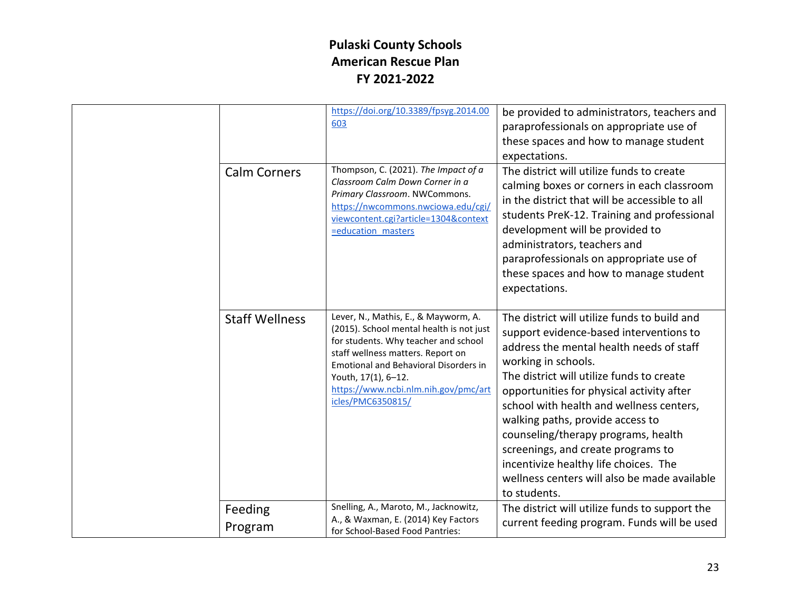|                       | https://doi.org/10.3389/fpsyg.2014.00<br>603                                                                                                                                                                                                                                                      | be provided to administrators, teachers and<br>paraprofessionals on appropriate use of<br>these spaces and how to manage student<br>expectations.                                                                                                                                                                                                                                                                                                                                                                          |
|-----------------------|---------------------------------------------------------------------------------------------------------------------------------------------------------------------------------------------------------------------------------------------------------------------------------------------------|----------------------------------------------------------------------------------------------------------------------------------------------------------------------------------------------------------------------------------------------------------------------------------------------------------------------------------------------------------------------------------------------------------------------------------------------------------------------------------------------------------------------------|
| <b>Calm Corners</b>   | Thompson, C. (2021). The Impact of a<br>Classroom Calm Down Corner in a<br>Primary Classroom. NWCommons.<br>https://nwcommons.nwciowa.edu/cgi/<br>viewcontent.cgi?article=1304&context<br>=education masters                                                                                      | The district will utilize funds to create<br>calming boxes or corners in each classroom<br>in the district that will be accessible to all<br>students PreK-12. Training and professional<br>development will be provided to<br>administrators, teachers and<br>paraprofessionals on appropriate use of<br>these spaces and how to manage student<br>expectations.                                                                                                                                                          |
| <b>Staff Wellness</b> | Lever, N., Mathis, E., & Mayworm, A.<br>(2015). School mental health is not just<br>for students. Why teacher and school<br>staff wellness matters. Report on<br><b>Emotional and Behavioral Disorders in</b><br>Youth, 17(1), 6-12.<br>https://www.ncbi.nlm.nih.gov/pmc/art<br>icles/PMC6350815/ | The district will utilize funds to build and<br>support evidence-based interventions to<br>address the mental health needs of staff<br>working in schools.<br>The district will utilize funds to create<br>opportunities for physical activity after<br>school with health and wellness centers,<br>walking paths, provide access to<br>counseling/therapy programs, health<br>screenings, and create programs to<br>incentivize healthy life choices. The<br>wellness centers will also be made available<br>to students. |
| Feeding<br>Program    | Snelling, A., Maroto, M., Jacknowitz,<br>A., & Waxman, E. (2014) Key Factors<br>for School-Based Food Pantries:                                                                                                                                                                                   | The district will utilize funds to support the<br>current feeding program. Funds will be used                                                                                                                                                                                                                                                                                                                                                                                                                              |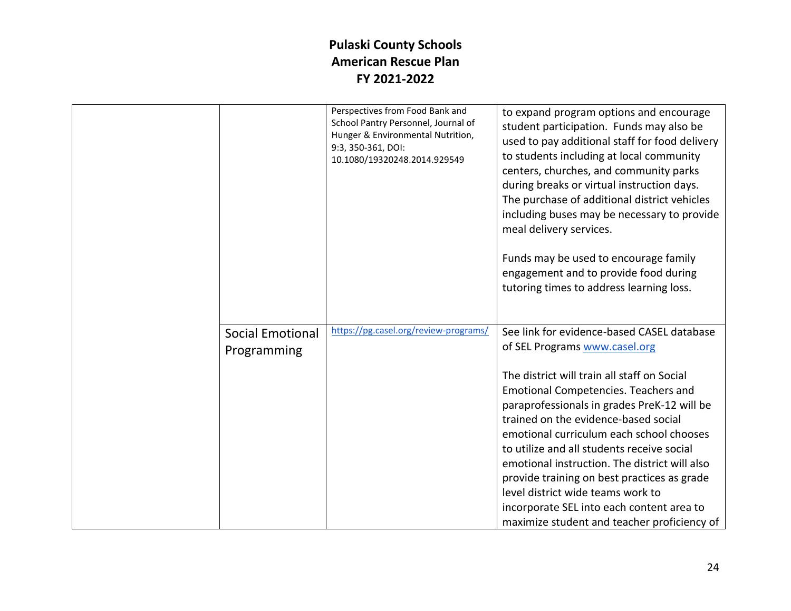|                         | Perspectives from Food Bank and<br>School Pantry Personnel, Journal of<br>Hunger & Environmental Nutrition,<br>9:3, 350-361, DOI:<br>10.1080/19320248.2014.929549 | to expand program options and encourage<br>student participation. Funds may also be<br>used to pay additional staff for food delivery<br>to students including at local community<br>centers, churches, and community parks<br>during breaks or virtual instruction days.<br>The purchase of additional district vehicles<br>including buses may be necessary to provide<br>meal delivery services.<br>Funds may be used to encourage family<br>engagement and to provide food during<br>tutoring times to address learning loss. |
|-------------------------|-------------------------------------------------------------------------------------------------------------------------------------------------------------------|-----------------------------------------------------------------------------------------------------------------------------------------------------------------------------------------------------------------------------------------------------------------------------------------------------------------------------------------------------------------------------------------------------------------------------------------------------------------------------------------------------------------------------------|
| <b>Social Emotional</b> | https://pg.casel.org/review-programs/                                                                                                                             | See link for evidence-based CASEL database                                                                                                                                                                                                                                                                                                                                                                                                                                                                                        |
| Programming             |                                                                                                                                                                   | of SEL Programs www.casel.org                                                                                                                                                                                                                                                                                                                                                                                                                                                                                                     |
|                         |                                                                                                                                                                   | The district will train all staff on Social                                                                                                                                                                                                                                                                                                                                                                                                                                                                                       |
|                         |                                                                                                                                                                   | Emotional Competencies. Teachers and                                                                                                                                                                                                                                                                                                                                                                                                                                                                                              |
|                         |                                                                                                                                                                   | paraprofessionals in grades PreK-12 will be                                                                                                                                                                                                                                                                                                                                                                                                                                                                                       |
|                         |                                                                                                                                                                   | trained on the evidence-based social                                                                                                                                                                                                                                                                                                                                                                                                                                                                                              |
|                         |                                                                                                                                                                   | emotional curriculum each school chooses                                                                                                                                                                                                                                                                                                                                                                                                                                                                                          |
|                         |                                                                                                                                                                   | to utilize and all students receive social                                                                                                                                                                                                                                                                                                                                                                                                                                                                                        |
|                         |                                                                                                                                                                   | emotional instruction. The district will also                                                                                                                                                                                                                                                                                                                                                                                                                                                                                     |
|                         |                                                                                                                                                                   | provide training on best practices as grade                                                                                                                                                                                                                                                                                                                                                                                                                                                                                       |
|                         |                                                                                                                                                                   | level district wide teams work to                                                                                                                                                                                                                                                                                                                                                                                                                                                                                                 |
|                         |                                                                                                                                                                   | incorporate SEL into each content area to                                                                                                                                                                                                                                                                                                                                                                                                                                                                                         |
|                         |                                                                                                                                                                   | maximize student and teacher proficiency of                                                                                                                                                                                                                                                                                                                                                                                                                                                                                       |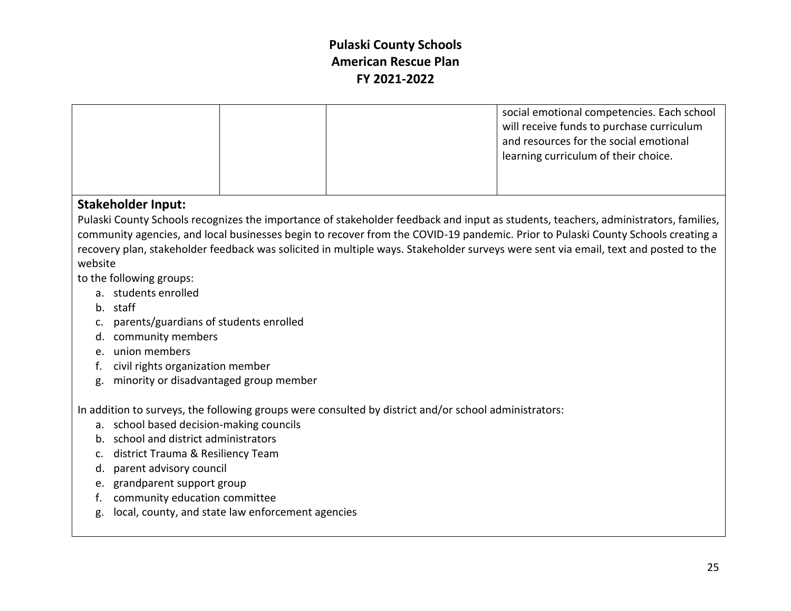| social emotional competencies. Each school<br>will receive funds to purchase curriculum<br>and resources for the social emotional<br>learning curriculum of their choice. |
|---------------------------------------------------------------------------------------------------------------------------------------------------------------------------|
|                                                                                                                                                                           |

#### **Stakeholder Input:**

Pulaski County Schools recognizes the importance of stakeholder feedback and input as students, teachers, administrators, families, community agencies, and local businesses begin to recover from the COVID-19 pandemic. Prior to Pulaski County Schools creating a recovery plan, stakeholder feedback was solicited in multiple ways. Stakeholder surveys were sent via email, text and posted to the website

to the following groups:

- a. students enrolled
- b. staff
- c. parents/guardians of students enrolled
- d. community members
- e. union members
- f. civil rights organization member
- g. minority or disadvantaged group member

In addition to surveys, the following groups were consulted by district and/or school administrators:

- a. school based decision-making councils
- b. school and district administrators
- c. district Trauma & Resiliency Team
- d. parent advisory council
- e. grandparent support group
- f. community education committee
- g. local, county, and state law enforcement agencies